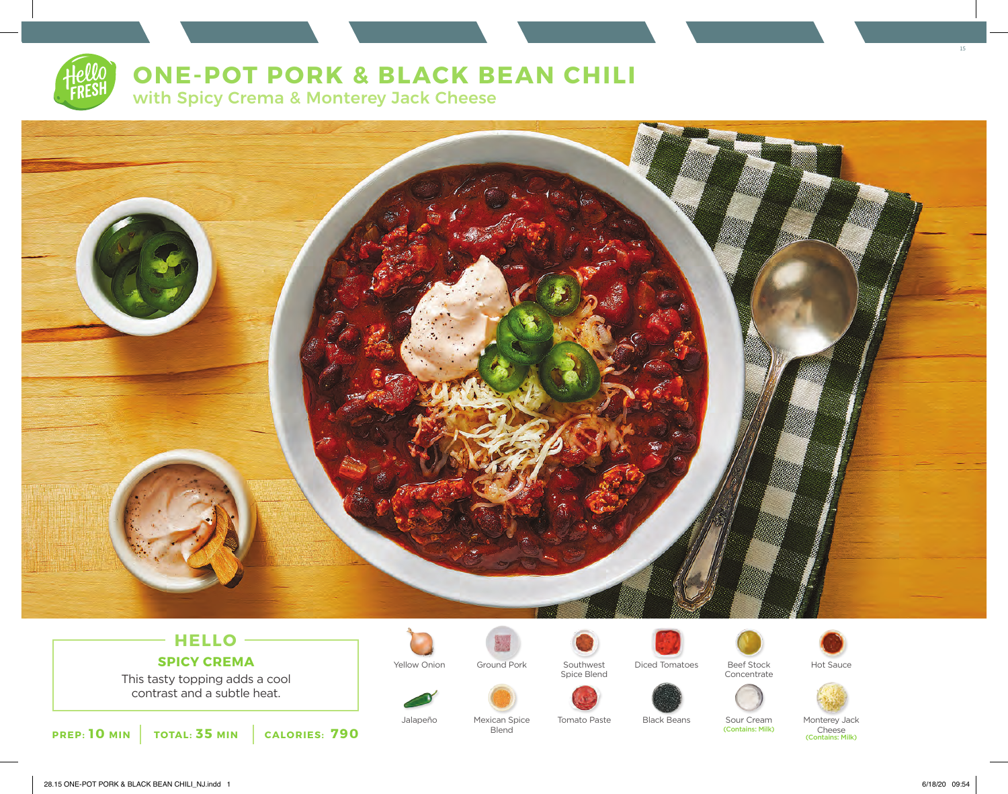# **ONE-POT PORK & BLACK BEAN CHILI**

with Spicy Crema & Monterey Jack Cheese



## **HELLO SPICY CREMA**

This tasty topping adds a cool contrast and a subtle heat.



Jalapeño Mexican Spice Tomato Paste Black Beans Sour Cream Monterey Jack<br>Blend Blend (Contains: Milk) Cheese



Spice Blend

Tomato Paste



Yellow Onion Ground Pork Southwest Diced Tomatoes Beef Stock Hot Sauce



(Contains: Milk)



Cheese (Contains: Milk)

15